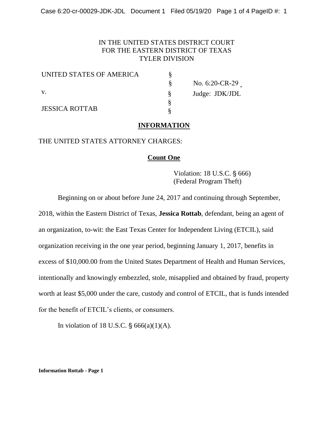### IN THE UNITED STATES DISTRICT COURT FOR THE EASTERN DISTRICT OF TEXAS TYLER DIVISION

| UNITED STATES OF AMERICA |  |
|--------------------------|--|
|                          |  |
| V.                       |  |
| <b>JESSICA ROTTAB</b>    |  |
|                          |  |

 $\S$  No. 6:20-CR-29 § Judge: JDK/JDL

#### **INFORMATION**

§ §

### THE UNITED STATES ATTORNEY CHARGES:

#### **Count One**

Violation: 18 U.S.C. § 666) (Federal Program Theft)

Beginning on or about before June 24, 2017 and continuing through September,

2018, within the Eastern District of Texas, **Jessica Rottab**, defendant, being an agent of an organization, to-wit: the East Texas Center for Independent Living (ETCIL), said organization receiving in the one year period, beginning January 1, 2017, benefits in excess of \$10,000.00 from the United States Department of Health and Human Services, intentionally and knowingly embezzled, stole, misapplied and obtained by fraud, property worth at least \$5,000 under the care, custody and control of ETCIL, that is funds intended for the benefit of ETCIL's clients, or consumers.

In violation of 18 U.S.C.  $\S$  666(a)(1)(A).

**Information Rottab - Page 1**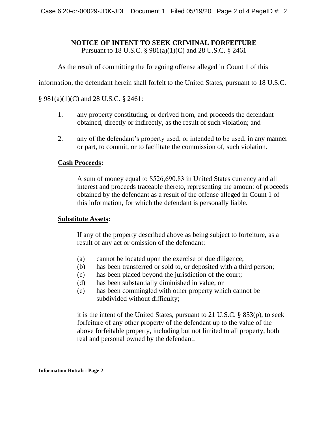# **NOTICE OF INTENT TO SEEK CRIMINAL FORFEITURE**

Pursuant to 18 U.S.C. § 981(a)(1)(C) and 28 U.S.C. § 2461

As the result of committing the foregoing offense alleged in Count 1 of this

information, the defendant herein shall forfeit to the United States, pursuant to 18 U.S.C.

§ 981(a)(1)(C) and 28 U.S.C. § 2461:

- 1. any property constituting, or derived from, and proceeds the defendant obtained, directly or indirectly, as the result of such violation; and
- 2. any of the defendant's property used, or intended to be used, in any manner or part, to commit, or to facilitate the commission of, such violation.

# **Cash Proceeds:**

A sum of money equal to \$526,690.83 in United States currency and all interest and proceeds traceable thereto, representing the amount of proceeds obtained by the defendant as a result of the offense alleged in Count 1 of this information, for which the defendant is personally liable.

## **Substitute Assets:**

If any of the property described above as being subject to forfeiture, as a result of any act or omission of the defendant:

- (a) cannot be located upon the exercise of due diligence;
- (b) has been transferred or sold to, or deposited with a third person;
- (c) has been placed beyond the jurisdiction of the court;
- (d) has been substantially diminished in value; or
- (e) has been commingled with other property which cannot be subdivided without difficulty;

it is the intent of the United States, pursuant to 21 U.S.C. § 853(p), to seek forfeiture of any other property of the defendant up to the value of the above forfeitable property, including but not limited to all property, both real and personal owned by the defendant.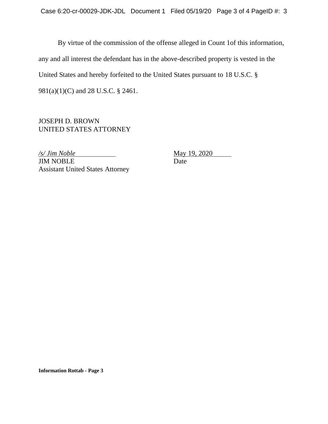By virtue of the commission of the offense alleged in Count 1of this information, any and all interest the defendant has in the above-described property is vested in the United States and hereby forfeited to the United States pursuant to 18 U.S.C. § 981(a)(1)(C) and 28 U.S.C. § 2461.

JOSEPH D. BROWN UNITED STATES ATTORNEY

*/s/ Jim Noble* May 19, 2020 **JIM NOBLE** Date Assistant United States Attorney

**Information Rottab - Page 3**